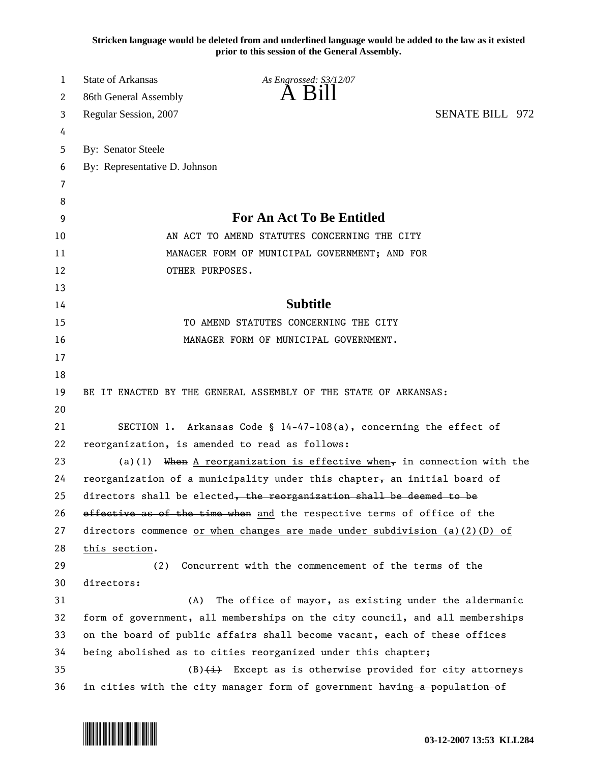**Stricken language would be deleted from and underlined language would be added to the law as it existed prior to this session of the General Assembly.**

| 1  | State of Arkansas<br>As Engrossed: S3/12/07                                       |                                                                           |  |
|----|-----------------------------------------------------------------------------------|---------------------------------------------------------------------------|--|
| 2  | A K1<br>86th General Assembly                                                     |                                                                           |  |
| 3  | Regular Session, 2007                                                             | <b>SENATE BILL 972</b>                                                    |  |
| 4  |                                                                                   |                                                                           |  |
| 5  | By: Senator Steele                                                                |                                                                           |  |
| 6  | By: Representative D. Johnson                                                     |                                                                           |  |
| 7  |                                                                                   |                                                                           |  |
| 8  |                                                                                   |                                                                           |  |
| 9  | For An Act To Be Entitled                                                         |                                                                           |  |
| 10 | AN ACT TO AMEND STATUTES CONCERNING THE CITY                                      |                                                                           |  |
| 11 | MANAGER FORM OF MUNICIPAL GOVERNMENT; AND FOR                                     |                                                                           |  |
| 12 | OTHER PURPOSES.                                                                   |                                                                           |  |
| 13 |                                                                                   |                                                                           |  |
| 14 | <b>Subtitle</b>                                                                   |                                                                           |  |
| 15 | TO AMEND STATUTES CONCERNING THE CITY                                             |                                                                           |  |
| 16 | MANAGER FORM OF MUNICIPAL GOVERNMENT.                                             |                                                                           |  |
|    | 17                                                                                |                                                                           |  |
|    | 18                                                                                |                                                                           |  |
| 19 | BE IT ENACTED BY THE GENERAL ASSEMBLY OF THE STATE OF ARKANSAS:                   |                                                                           |  |
|    | 20                                                                                |                                                                           |  |
| 21 | SECTION 1. Arkansas Code § $14-47-108(a)$ , concerning the effect of              |                                                                           |  |
| 22 | reorganization, is amended to read as follows:                                    |                                                                           |  |
| 23 | (a)(1) When A reorganization is effective when, in connection with the            |                                                                           |  |
| 24 | reorganization of a municipality under this chapter, an initial board of          |                                                                           |  |
| 25 | directors shall be elected, the reorganization shall be deemed to be              |                                                                           |  |
|    | 26<br>effective as of the time when and the respective terms of office of the     |                                                                           |  |
| 27 | directors commence <u>or when changes</u> are made under subdivision (a)(2)(D) of |                                                                           |  |
|    | 28<br>this section.                                                               |                                                                           |  |
|    | 29<br>Concurrent with the commencement of the terms of the<br>(2)                 |                                                                           |  |
|    | 30<br>directors:                                                                  |                                                                           |  |
|    | 31<br>(A)                                                                         | The office of mayor, as existing under the aldermanic                     |  |
| 32 | form of government, all memberships on the city council, and all memberships      |                                                                           |  |
|    | 33                                                                                | on the board of public affairs shall become vacant, each of these offices |  |
| 34 |                                                                                   | being abolished as to cities reorganized under this chapter;              |  |
| 35 |                                                                                   | $(B)$ $(1)$ Except as is otherwise provided for city attorneys            |  |
| 36 | in cities with the city manager form of government having a population of         |                                                                           |  |

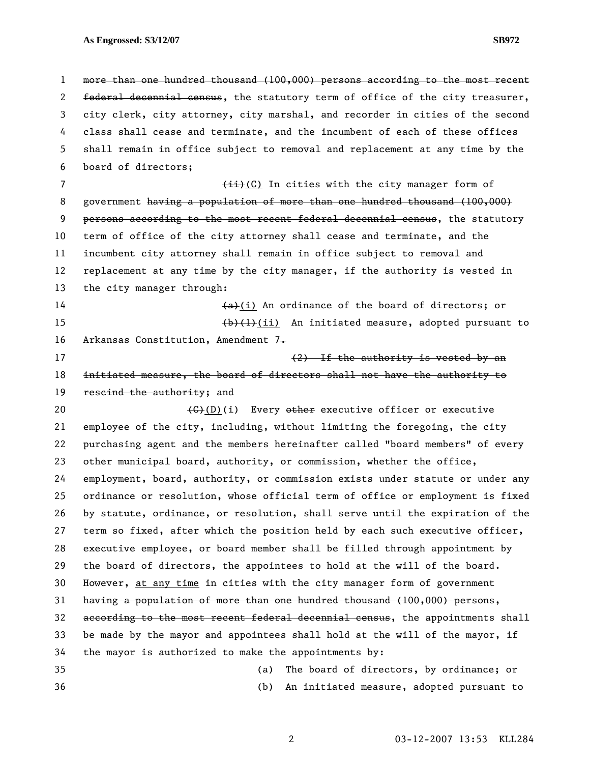1 more than one hundred thousand (100,000) persons according to the most recent 2 federal decennial census, the statutory term of office of the city treasurer, 3 city clerk, city attorney, city marshal, and recorder in cities of the second 4 class shall cease and terminate, and the incumbent of each of these offices 5 shall remain in office subject to removal and replacement at any time by the 6 board of directors; 7 (ii)(C) In cities with the city manager form of 8 government having a population of more than one hundred thousand (100,000) 9 persons according to the most recent federal decennial census, the statutory 10 term of office of the city attorney shall cease and terminate, and the 11 incumbent city attorney shall remain in office subject to removal and 12 replacement at any time by the city manager, if the authority is vested in 13 the city manager through: 14 (a)(i) An ordinance of the board of directors; or 15 (b)(1)(ii) An initiated measure, adopted pursuant to 16 Arkansas Constitution, Amendment  $7\frac{1}{10}$ 17 (2) If the authority is vested by an 18 initiated measure, the board of directors shall not have the authority to 19 rescind the authority; and 20  $\left(\frac{C}{C}\right)(1)$  Every other executive officer or executive 21 employee of the city, including, without limiting the foregoing, the city 22 purchasing agent and the members hereinafter called "board members" of every 23 other municipal board, authority, or commission, whether the office, 24 employment, board, authority, or commission exists under statute or under any 25 ordinance or resolution, whose official term of office or employment is fixed 26 by statute, ordinance, or resolution, shall serve until the expiration of the 27 term so fixed, after which the position held by each such executive officer, 28 executive employee, or board member shall be filled through appointment by 29 the board of directors, the appointees to hold at the will of the board. 30 However, at any time in cities with the city manager form of government 31 having a population of more than one hundred thousand (100,000) persons, 32 according to the most recent federal decennial census, the appointments shall 33 be made by the mayor and appointees shall hold at the will of the mayor, if 34 the mayor is authorized to make the appointments by: 35 (a) The board of directors, by ordinance; or 36 (b) An initiated measure, adopted pursuant to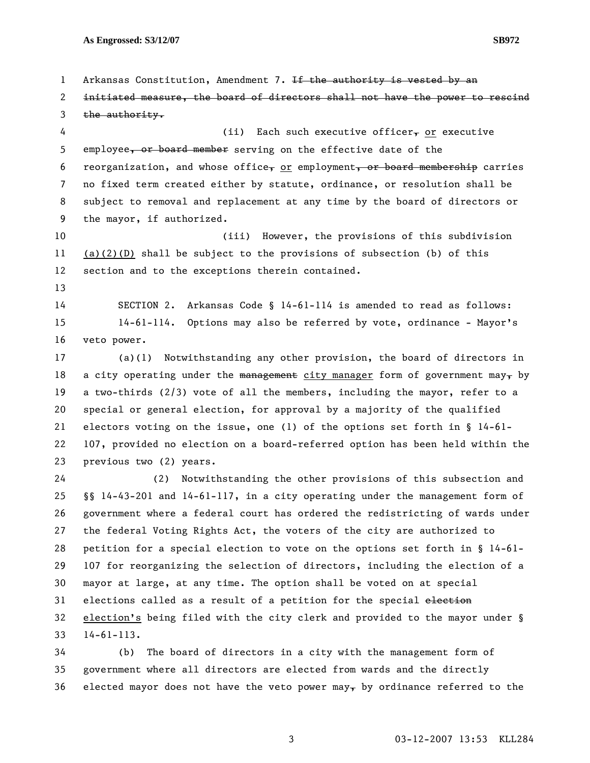1 Arkansas Constitution, Amendment 7. If the authority is vested by an 2 initiated measure, the board of directors shall not have the power to rescind  $3$  the authority. 4 (ii) Each such executive officer<sub>r</sub> or executive 5 employee, or board member serving on the effective date of the 6 reorganization, and whose office, or employment, or board membership carries 7 no fixed term created either by statute, ordinance, or resolution shall be 8 subject to removal and replacement at any time by the board of directors or 9 the mayor, if authorized. 10 (iii) However, the provisions of this subdivision 11 (a)(2)(D) shall be subject to the provisions of subsection (b) of this 12 section and to the exceptions therein contained. 13 14 SECTION 2. Arkansas Code § 14-61-114 is amended to read as follows: 15 14-61-114. Options may also be referred by vote, ordinance - Mayor's 16 veto power. 17 (a)(1) Notwithstanding any other provision, the board of directors in 18 a city operating under the management city manager form of government may, by 19 a two-thirds (2/3) vote of all the members, including the mayor, refer to a 20 special or general election, for approval by a majority of the qualified 21 electors voting on the issue, one (1) of the options set forth in § 14-61- 22 107, provided no election on a board-referred option has been held within the

23 previous two (2) years.

24 (2) Notwithstanding the other provisions of this subsection and 25 §§ 14-43-201 and 14-61-117, in a city operating under the management form of 26 government where a federal court has ordered the redistricting of wards under 27 the federal Voting Rights Act, the voters of the city are authorized to 28 petition for a special election to vote on the options set forth in § 14-61- 29 107 for reorganizing the selection of directors, including the election of a 30 mayor at large, at any time. The option shall be voted on at special 31 elections called as a result of a petition for the special election 32 election's being filed with the city clerk and provided to the mayor under § 33 14-61-113.

34 (b) The board of directors in a city with the management form of 35 government where all directors are elected from wards and the directly 36 elected mayor does not have the veto power may, by ordinance referred to the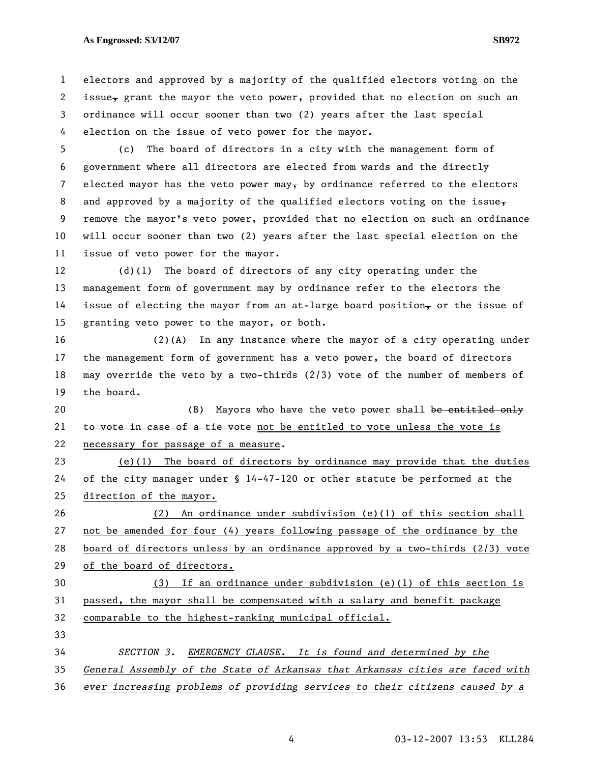1 electors and approved by a majority of the qualified electors voting on the 2 issue, grant the mayor the veto power, provided that no election on such an 3 ordinance will occur sooner than two (2) years after the last special

4 election on the issue of veto power for the mayor.

5 (c) The board of directors in a city with the management form of 6 government where all directors are elected from wards and the directly 7 elected mayor has the veto power may<sub>r</sub> by ordinance referred to the electors 8 and approved by a majority of the qualified electors voting on the issue, 9 remove the mayor's veto power, provided that no election on such an ordinance 10 will occur sooner than two (2) years after the last special election on the 11 issue of veto power for the mayor.

12 (d)(1) The board of directors of any city operating under the 13 management form of government may by ordinance refer to the electors the 14 issue of electing the mayor from an at-large board position, or the issue of 15 granting veto power to the mayor, or both.

16 (2)(A) In any instance where the mayor of a city operating under 17 the management form of government has a veto power, the board of directors 18 may override the veto by a two-thirds (2/3) vote of the number of members of 19 the board.

20 (B) Mayors who have the veto power shall be entitled only 21 to vote in case of a tie vote not be entitled to vote unless the vote is 22 necessary for passage of a measure.

23 (e)(1) The board of directors by ordinance may provide that the duties 24 of the city manager under § 14-47-120 or other statute be performed at the 25 direction of the mayor.

26 (2) An ordinance under subdivision (e)(1) of this section shall 27 not be amended for four (4) years following passage of the ordinance by the 28 board of directors unless by an ordinance approved by a two-thirds (2/3) vote 29 of the board of directors.

30 (3) If an ordinance under subdivision (e)(1) of this section is 31 passed, the mayor shall be compensated with a salary and benefit package 32 comparable to the highest-ranking municipal official.

33 *SECTION 3. EMERGENCY CLAUSE. It is found and determined by the General Assembly of the State of Arkansas that Arkansas cities are faced with ever increasing problems of providing services to their citizens caused by a*